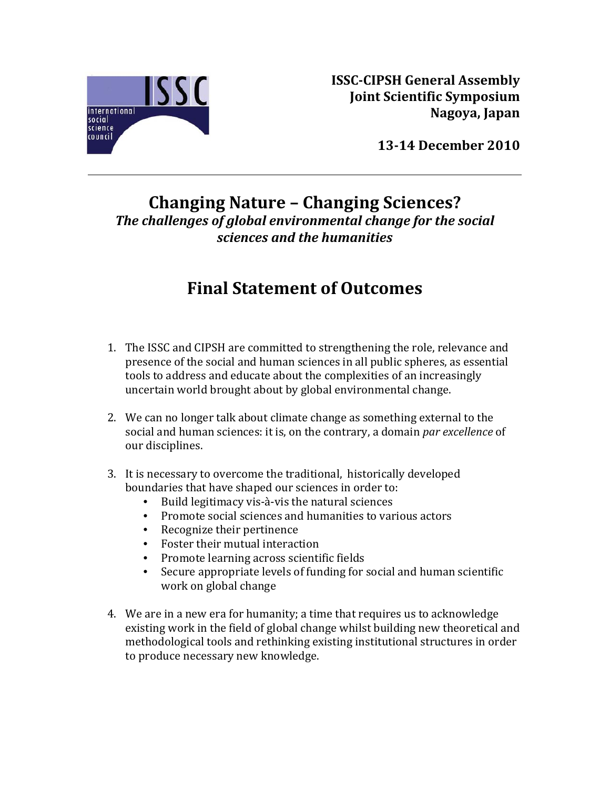

**ISSCCIPSH General Assembly Joint Scientific Symposium Nagoya, Japan**

**1314 December 2010**

## **Changing Nature – Changing Sciences?** *The challenges of global environmental change for the social sciences and the humanities*

## **Final Statement of Outcomes**

- 1. The ISSC and CIPSH are committed to strengthening the role, relevance and presence of the social and human sciences in all public spheres, as essential tools to address and educate about the complexities of an increasingly uncertain world brought about by global environmental change.
- 2. We can no longer talk about climate change as something external to the social and human sciences: it is, on the contrary, a domain *par excellence* of our disciplines.
- 3. It is necessary to overcome the traditional, historically developed bounda ries that have shaped our sciences in order to:
	- Build legitimacy vis-à-vis the natural sciences
	- Promote social sciences and humanities to various actors
	- Recognize their pertinence
	- Foster their mutual interaction
	- Promote learning across scientific fields
	- Secure appropriate levels of funding for social and human scientific work on global change
- 4. We are in a new era for humanity; a time that requires us to acknowledge existing work in the field of global change whilst building new theoretical and methodological tools and rethinking existing institutional structures in order to produce necessary new knowledge.